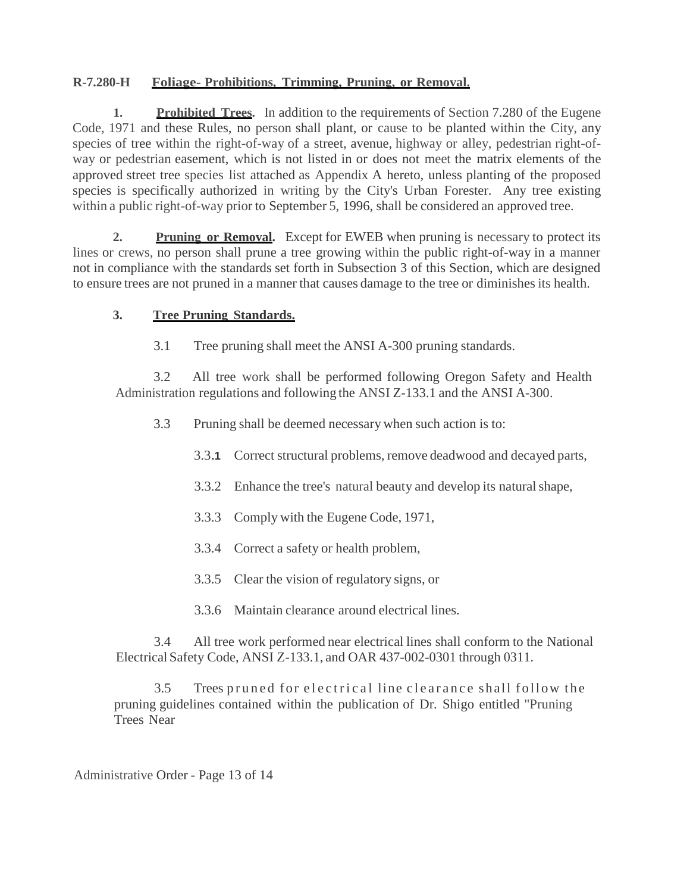## **R-7.280-H Foliage- Prohibitions, Trimming, Pruning, or Removal.**

**1. Prohibited Trees.** In addition to the requirements of Section 7.280 of the Eugene Code, 1971 and these Rules, no person shall plant, or cause to be planted within the City, any species of tree within the right-of-way of a street, avenue, highway or alley, pedestrian right-ofway or pedestrian easement, which is not listed in or does not meet the matrix elements of the approved street tree species list attached as Appendix A hereto, unless planting of the proposed species is specifically authorized in writing by the City's Urban Forester. Any tree existing within a public right-of-way prior to September 5, 1996, shall be considered an approved tree.

**2. Pruning or Removal.** Except for EWEB when pruning is necessary to protect its lines or crews, no person shall prune a tree growing within the public right-of-way in a manner not in compliance with the standards set forth in Subsection 3 of this Section, which are designed to ensure trees are not pruned in a manner that causes damage to the tree or diminishesits health.

## **3. Tree Pruning Standards.**

3.1 Tree pruning shall meet the ANSI A-300 pruning standards.

3.2 All tree work shall be performed following Oregon Safety and Health Administration regulations and following the ANSI Z-133.1 and the ANSI A-300.

3.3 Pruning shall be deemed necessary when such action is to:

- 3.3**.1** Correct structural problems, remove deadwood and decayed parts,
- 3.3.2 Enhance the tree's natural beauty and develop its naturalshape,
- 3.3.3 Comply with the Eugene Code, 1971,
- 3.3.4 Correct a safety or health problem,
- 3.3.5 Clear the vision of regulatory signs, or
- 3.3.6 Maintain clearance around electrical lines.

3.4 All tree work performed near electrical lines shall conform to the National Electrical Safety Code, ANSI Z-133.1, and OAR 437-002-0301 through 0311.

3.5 Trees pruned for electrical line clearance shall follow the pruning guidelines contained within the publication of Dr. Shigo entitled "Pruning Trees Near

Administrative Order - Page 13 of 14